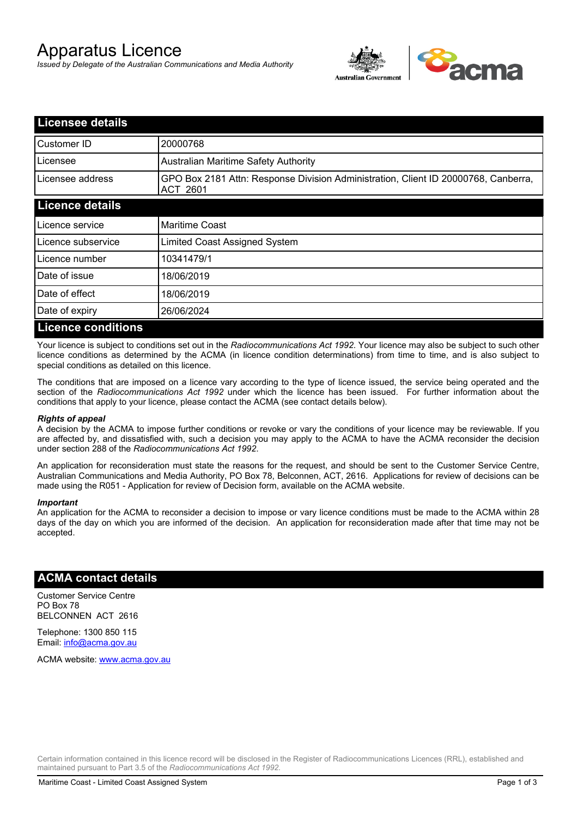# Apparatus Licence

*Issued by Delegate of the Australian Communications and Media Authority*



| <b>Licensee details</b>   |                                                                                                       |
|---------------------------|-------------------------------------------------------------------------------------------------------|
| Customer ID               | 20000768                                                                                              |
| Licensee                  | <b>Australian Maritime Safety Authority</b>                                                           |
| Licensee address          | GPO Box 2181 Attn: Response Division Administration, Client ID 20000768, Canberra,<br><b>ACT 2601</b> |
| <b>Licence details</b>    |                                                                                                       |
| Licence service           | <b>Maritime Coast</b>                                                                                 |
| Licence subservice        | Limited Coast Assigned System                                                                         |
| Licence number            | 10341479/1                                                                                            |
| Date of issue             | 18/06/2019                                                                                            |
| Date of effect            | 18/06/2019                                                                                            |
| Date of expiry            | 26/06/2024                                                                                            |
| <b>Licence conditions</b> |                                                                                                       |

Your licence is subject to conditions set out in the *Radiocommunications Act 1992*. Your licence may also be subject to such other licence conditions as determined by the ACMA (in licence condition determinations) from time to time, and is also subject to special conditions as detailed on this licence.

The conditions that are imposed on a licence vary according to the type of licence issued, the service being operated and the section of the *Radiocommunications Act 1992* under which the licence has been issued. For further information about the conditions that apply to your licence, please contact the ACMA (see contact details below).

### *Rights of appeal*

A decision by the ACMA to impose further conditions or revoke or vary the conditions of your licence may be reviewable. If you are affected by, and dissatisfied with, such a decision you may apply to the ACMA to have the ACMA reconsider the decision under section 288 of the *Radiocommunications Act 1992*.

An application for reconsideration must state the reasons for the request, and should be sent to the Customer Service Centre, Australian Communications and Media Authority, PO Box 78, Belconnen, ACT, 2616. Applications for review of decisions can be made using the R051 - Application for review of Decision form, available on the ACMA website.

#### *Important*

An application for the ACMA to reconsider a decision to impose or vary licence conditions must be made to the ACMA within 28 days of the day on which you are informed of the decision. An application for reconsideration made after that time may not be accepted.

## **ACMA contact details**

Customer Service Centre PO Box 78 BELCONNEN ACT 2616

Telephone: 1300 850 115 Email: info@acma.gov.au

ACMA website: www.acma.gov.au

Certain information contained in this licence record will be disclosed in the Register of Radiocommunications Licences (RRL), established and maintained pursuant to Part 3.5 of the *Radiocommunications Act 1992.*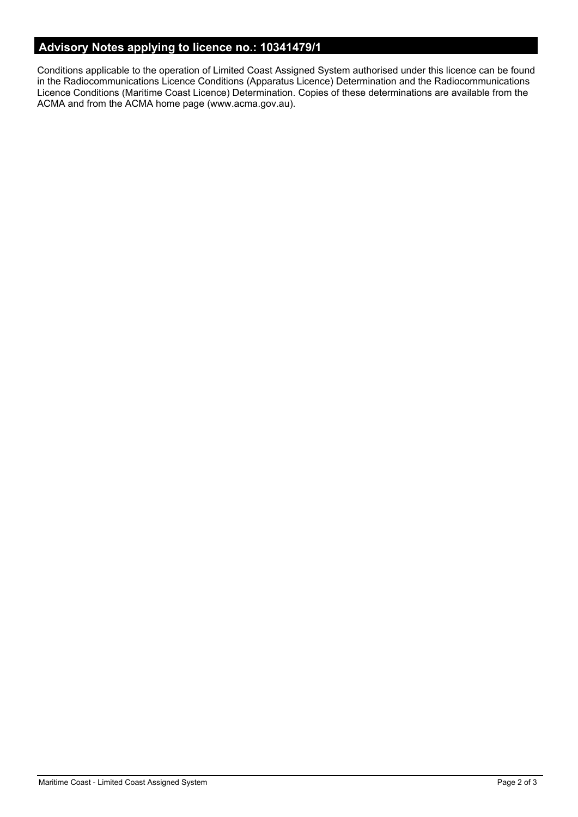# **Advisory Notes applying to licence no.: 10341479/1**

Conditions applicable to the operation of Limited Coast Assigned System authorised under this licence can be found in the Radiocommunications Licence Conditions (Apparatus Licence) Determination and the Radiocommunications Licence Conditions (Maritime Coast Licence) Determination. Copies of these determinations are available from the ACMA and from the ACMA home page (www.acma.gov.au).